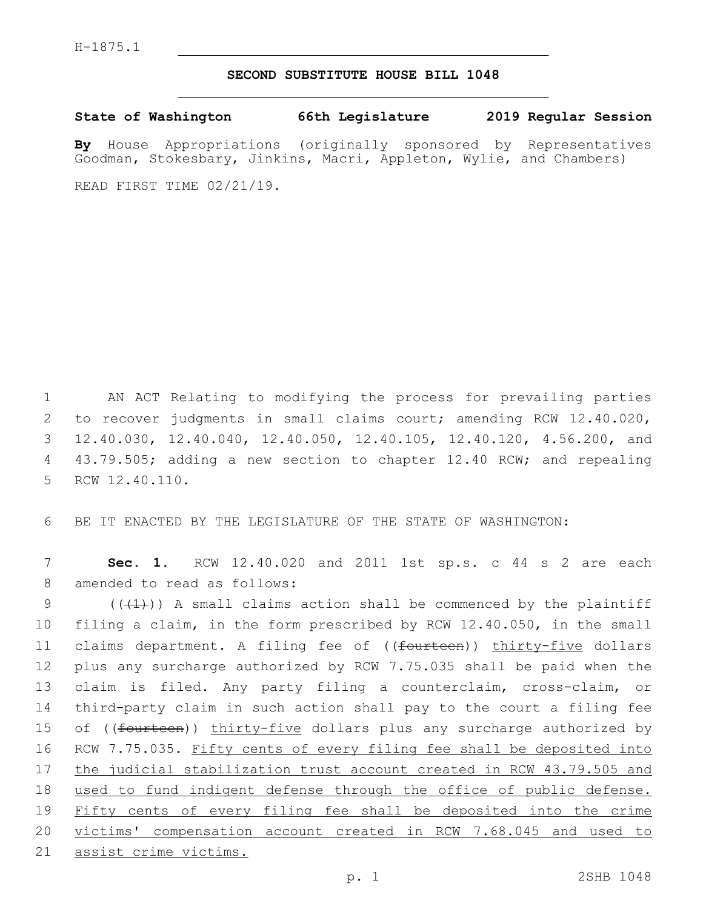## **SECOND SUBSTITUTE HOUSE BILL 1048**

**State of Washington 66th Legislature 2019 Regular Session**

**By** House Appropriations (originally sponsored by Representatives Goodman, Stokesbary, Jinkins, Macri, Appleton, Wylie, and Chambers)

READ FIRST TIME 02/21/19.

1 AN ACT Relating to modifying the process for prevailing parties 2 to recover judgments in small claims court; amending RCW 12.40.020, 3 12.40.030, 12.40.040, 12.40.050, 12.40.105, 12.40.120, 4.56.200, and 4 43.79.505; adding a new section to chapter 12.40 RCW; and repealing 5 RCW 12.40.110.

6 BE IT ENACTED BY THE LEGISLATURE OF THE STATE OF WASHINGTON:

7 **Sec. 1.** RCW 12.40.020 and 2011 1st sp.s. c 44 s 2 are each 8 amended to read as follows:

 $((+1))$  A small claims action shall be commenced by the plaintiff filing a claim, in the form prescribed by RCW 12.40.050, in the small 11 claims department. A filing fee of ((<del>fourteen</del>)) thirty-five dollars plus any surcharge authorized by RCW 7.75.035 shall be paid when the claim is filed. Any party filing a counterclaim, cross-claim, or third-party claim in such action shall pay to the court a filing fee 15 of ((<del>fourteen</del>)) thirty-five dollars plus any surcharge authorized by 16 RCW 7.75.035. Fifty cents of every filing fee shall be deposited into 17 the judicial stabilization trust account created in RCW 43.79.505 and used to fund indigent defense through the office of public defense. Fifty cents of every filing fee shall be deposited into the crime victims' compensation account created in RCW 7.68.045 and used to assist crime victims.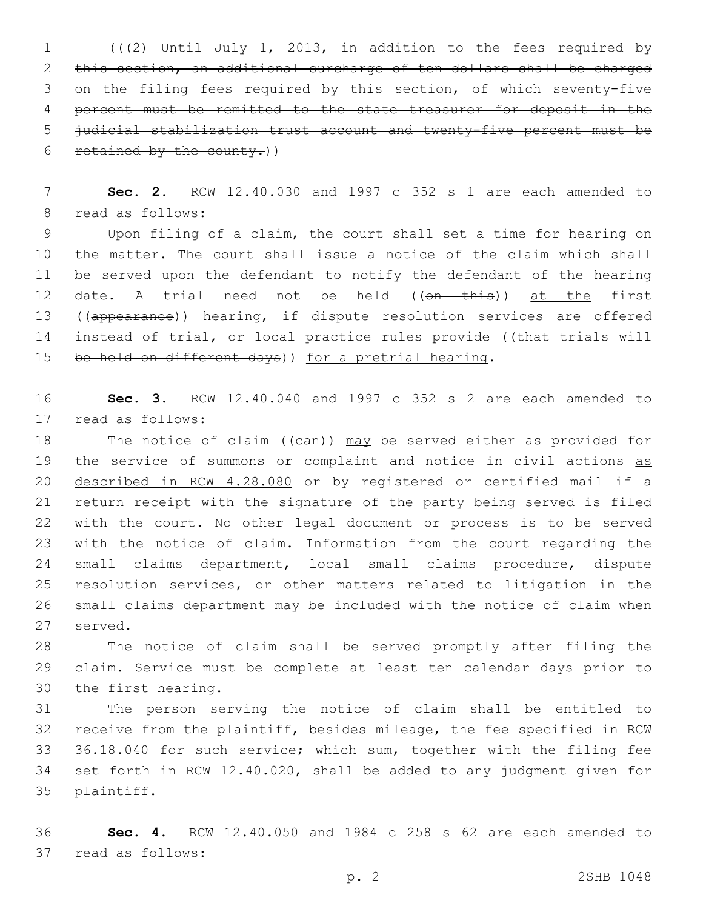(((2) Until July 1, 2013, in addition to the fees required by this section, an additional surcharge of ten dollars shall be charged on the filing fees required by this section, of which seventy-five percent must be remitted to the state treasurer for deposit in the judicial stabilization trust account and twenty-five percent must be 6 retained by the county.)

 **Sec. 2.** RCW 12.40.030 and 1997 c 352 s 1 are each amended to 8 read as follows:

 Upon filing of a claim, the court shall set a time for hearing on the matter. The court shall issue a notice of the claim which shall be served upon the defendant to notify the defendant of the hearing 12 date. A trial need not be held ((on this)) at the first 13 ((appearance)) hearing, if dispute resolution services are offered 14 instead of trial, or local practice rules provide ((that trials will 15 be held on different days)) for a pretrial hearing.

 **Sec. 3.** RCW 12.40.040 and 1997 c 352 s 2 are each amended to 17 read as follows:

18 The notice of claim ((ean)) may be served either as provided for 19 the service of summons or complaint and notice in civil actions as described in RCW 4.28.080 or by registered or certified mail if a return receipt with the signature of the party being served is filed with the court. No other legal document or process is to be served with the notice of claim. Information from the court regarding the small claims department, local small claims procedure, dispute resolution services, or other matters related to litigation in the small claims department may be included with the notice of claim when 27 served.

 The notice of claim shall be served promptly after filing the 29 claim. Service must be complete at least ten calendar days prior to 30 the first hearing.

 The person serving the notice of claim shall be entitled to receive from the plaintiff, besides mileage, the fee specified in RCW 36.18.040 for such service; which sum, together with the filing fee set forth in RCW 12.40.020, shall be added to any judgment given for 35 plaintiff.

 **Sec. 4.** RCW 12.40.050 and 1984 c 258 s 62 are each amended to 37 read as follows: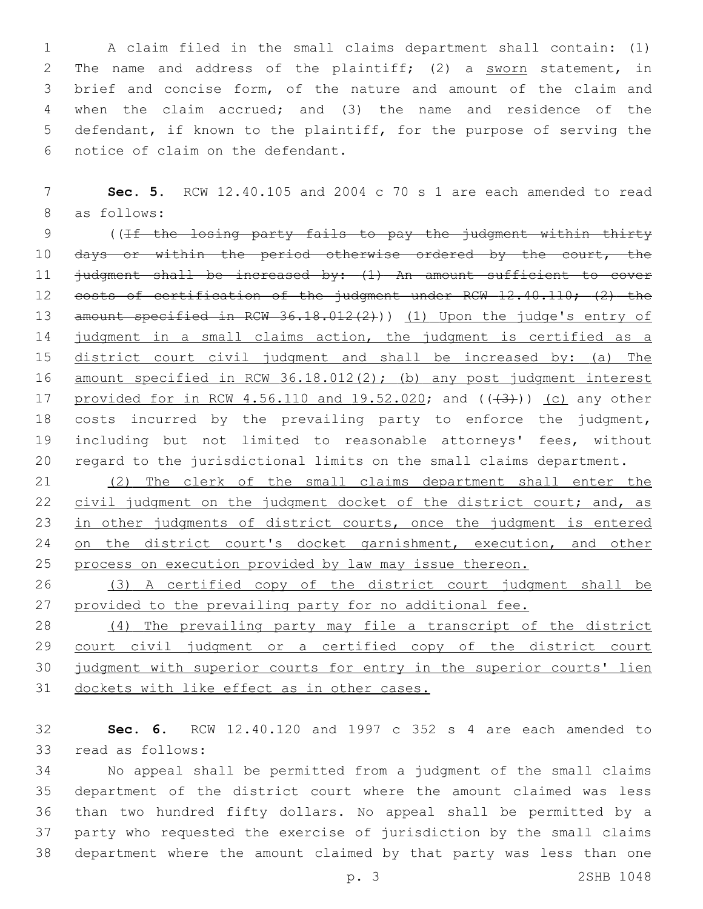A claim filed in the small claims department shall contain: (1) The name and address of the plaintiff; (2) a sworn statement, in brief and concise form, of the nature and amount of the claim and when the claim accrued; and (3) the name and residence of the defendant, if known to the plaintiff, for the purpose of serving the 6 notice of claim on the defendant.

7 **Sec. 5.** RCW 12.40.105 and 2004 c 70 s 1 are each amended to read 8 as follows:

9 ((If the losing party fails to pay the judgment within thirty 10 days or within the period otherwise ordered by the court, the 11 judgment shall be increased by: (1) An amount sufficient to cover 12 costs of certification of the judgment under RCW 12.40.110; (2) the 13 amount specified in RCW 36.18.012(2))) (1) Upon the judge's entry of 14 judgment in a small claims action, the judgment is certified as a 15 district court civil judgment and shall be increased by: (a) The 16 amount specified in RCW 36.18.012(2); (b) any post judgment interest 17 provided for in RCW 4.56.110 and  $19.52.020$ ; and  $((43+))$  (c) any other 18 costs incurred by the prevailing party to enforce the judgment, 19 including but not limited to reasonable attorneys' fees, without 20 regard to the jurisdictional limits on the small claims department.

21 (2) The clerk of the small claims department shall enter the 22 civil judgment on the judgment docket of the district court; and, as 23 in other judgments of district courts, once the judgment is entered 24 on the district court's docket garnishment, execution, and other 25 process on execution provided by law may issue thereon.

26 (3) A certified copy of the district court judgment shall be 27 provided to the prevailing party for no additional fee.

 (4) The prevailing party may file a transcript of the district 29 court civil judgment or a certified copy of the district court judgment with superior courts for entry in the superior courts' lien dockets with like effect as in other cases.

32 **Sec. 6.** RCW 12.40.120 and 1997 c 352 s 4 are each amended to 33 read as follows:

 No appeal shall be permitted from a judgment of the small claims department of the district court where the amount claimed was less than two hundred fifty dollars. No appeal shall be permitted by a party who requested the exercise of jurisdiction by the small claims department where the amount claimed by that party was less than one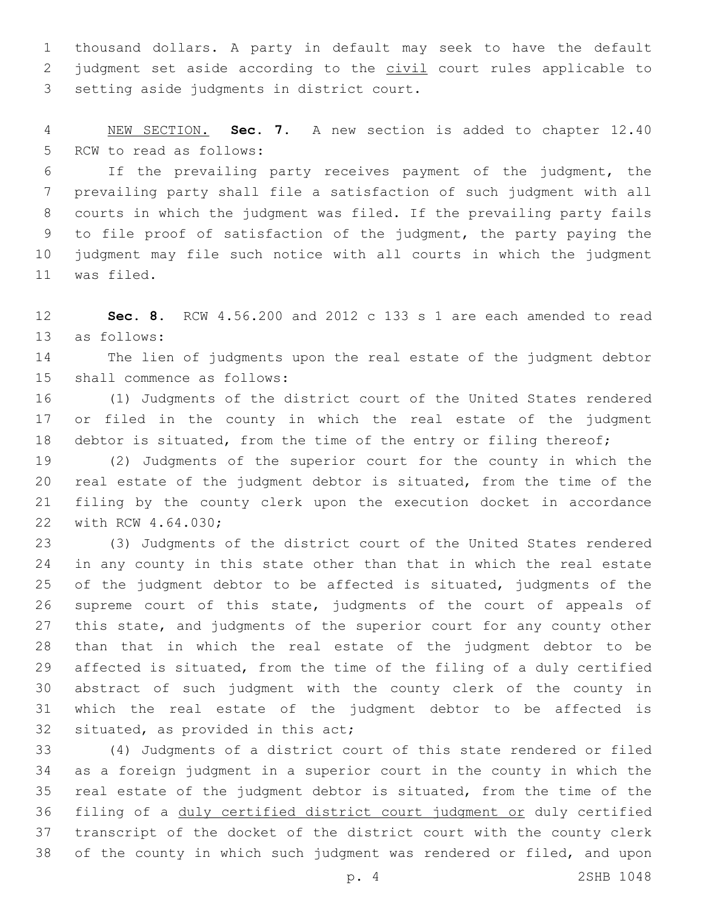thousand dollars. A party in default may seek to have the default 2 judgment set aside according to the civil court rules applicable to 3 setting aside judgments in district court.

 NEW SECTION. **Sec. 7.** A new section is added to chapter 12.40 5 RCW to read as follows:

 If the prevailing party receives payment of the judgment, the prevailing party shall file a satisfaction of such judgment with all courts in which the judgment was filed. If the prevailing party fails to file proof of satisfaction of the judgment, the party paying the judgment may file such notice with all courts in which the judgment 11 was filed.

 **Sec. 8.** RCW 4.56.200 and 2012 c 133 s 1 are each amended to read 13 as follows:

 The lien of judgments upon the real estate of the judgment debtor 15 shall commence as follows:

 (1) Judgments of the district court of the United States rendered or filed in the county in which the real estate of the judgment 18 debtor is situated, from the time of the entry or filing thereof;

 (2) Judgments of the superior court for the county in which the real estate of the judgment debtor is situated, from the time of the filing by the county clerk upon the execution docket in accordance 22 with RCW 4.64.030;

 (3) Judgments of the district court of the United States rendered in any county in this state other than that in which the real estate of the judgment debtor to be affected is situated, judgments of the supreme court of this state, judgments of the court of appeals of this state, and judgments of the superior court for any county other than that in which the real estate of the judgment debtor to be affected is situated, from the time of the filing of a duly certified abstract of such judgment with the county clerk of the county in which the real estate of the judgment debtor to be affected is 32 situated, as provided in this act;

 (4) Judgments of a district court of this state rendered or filed as a foreign judgment in a superior court in the county in which the real estate of the judgment debtor is situated, from the time of the 36 filing of a duly certified district court judgment or duly certified transcript of the docket of the district court with the county clerk of the county in which such judgment was rendered or filed, and upon

p. 4 2SHB 1048